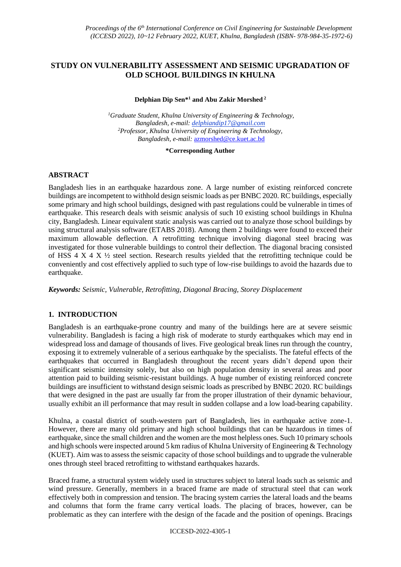# **STUDY ON VULNERABILITY ASSESSMENT AND SEISMIC UPGRADATION OF OLD SCHOOL BUILDINGS IN KHULNA**

#### **Delphian Dip Sen\* <sup>1</sup> and Abu Zakir Morshed <sup>2</sup>**

*<sup>1</sup>Graduate Student, Khulna University of Engineering & Technology, Bangladesh, e-mail: delphiandip17@gmail.com <sup>2</sup>Professor, Khulna University of Engineering & Technology, Bangladesh, e-mail:* [azmorshed@ce.kuet.ac.bd](mailto:azmorshed@ce.kuet.ac.bd)

#### **\*Corresponding Author**

# **ABSTRACT**

Bangladesh lies in an earthquake hazardous zone. A large number of existing reinforced concrete buildings are incompetent to withhold design seismic loads as per BNBC 2020. RC buildings, especially some primary and high school buildings, designed with past regulations could be vulnerable in times of earthquake. This research deals with seismic analysis of such 10 existing school buildings in Khulna city, Bangladesh. Linear equivalent static analysis was carried out to analyze those school buildings by using structural analysis software (ETABS 2018). Among them 2 buildings were found to exceed their maximum allowable deflection. A retrofitting technique involving diagonal steel bracing was investigated for those vulnerable buildings to control their deflection. The diagonal bracing consisted of HSS 4 X 4  $\chi$   $\frac{1}{2}$  steel section. Research results yielded that the retrofitting technique could be conveniently and cost effectively applied to such type of low-rise buildings to avoid the hazards due to earthquake.

*Keywords: Seismic, Vulnerable, Retrofitting, Diagonal Bracing, Storey Displacement*

# **1. INTRODUCTION**

Bangladesh is an earthquake-prone country and many of the buildings here are at severe seismic vulnerability. Bangladesh is facing a high risk of moderate to sturdy earthquakes which may end in widespread loss and damage of thousands of lives. Five geological break lines run through the country, exposing it to extremely vulnerable of a serious earthquake by the specialists. The fateful effects of the earthquakes that occurred in Bangladesh throughout the recent years didn't depend upon their significant seismic intensity solely, but also on high population density in several areas and poor attention paid to building seismic-resistant buildings. A huge number of existing reinforced concrete buildings are insufficient to withstand design seismic loads as prescribed by BNBC 2020. RC buildings that were designed in the past are usually far from the proper illustration of their dynamic behaviour, usually exhibit an ill performance that may result in sudden collapse and a low load-bearing capability.

Khulna, a coastal district of south-western part of Bangladesh, lies in earthquake active zone-1. However, there are many old primary and high school buildings that can be hazardous in times of earthquake, since the small children and the women are the most helpless ones. Such 10 primary schools and high schools were inspected around 5 km radius of Khulna University of Engineering & Technology (KUET). Aim was to assess the seismic capacity of those school buildings and to upgrade the vulnerable ones through steel braced retrofitting to withstand earthquakes hazards.

Braced frame, a structural system widely used in structures subject to lateral loads such as seismic and wind pressure. Generally, members in a braced frame are made of structural steel that can work effectively both in compression and tension. The bracing system carries the lateral loads and the beams and columns that form the frame carry vertical loads. The placing of braces, however, can be problematic as they can interfere with the design of the facade and the position of openings. Bracings

#### ICCESD-2022-4305-1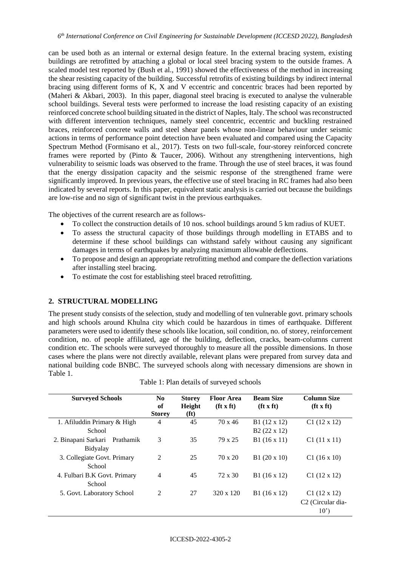can be used both as an internal or external design feature. In the external bracing system, existing buildings are retrofitted by attaching a global or local steel bracing system to the outside frames. A scaled model test reported by (Bush et al., 1991) showed the effectiveness of the method in increasing the shear resisting capacity of the building. Successful retrofits of existing buildings by indirect internal bracing using different forms of K, X and V eccentric and concentric braces had been reported by (Maheri & Akbari, 2003). In this paper, diagonal steel bracing is executed to analyse the vulnerable school buildings. Several tests were performed to increase the load resisting capacity of an existing reinforced concrete school building situated in the district of Naples, Italy. The school was reconstructed with different intervention techniques, namely steel concentric, eccentric and buckling restrained braces, reinforced concrete walls and steel shear panels whose non-linear behaviour under seismic actions in terms of performance point detection have been evaluated and compared using the Capacity Spectrum Method (Formisano et al., 2017). Tests on two full-scale, four-storey reinforced concrete frames were reported by (Pinto & Taucer, 2006). Without any strengthening interventions, high vulnerability to seismic loads was observed to the frame. Through the use of steel braces, it was found that the energy dissipation capacity and the seismic response of the strengthened frame were significantly improved. In previous years, the effective use of steel bracing in RC frames had also been indicated by several reports. In this paper, equivalent static analysis is carried out because the buildings are low-rise and no sign of significant twist in the previous earthquakes.

The objectives of the current research are as follows-

- To collect the construction details of 10 nos. school buildings around 5 km radius of KUET.
- To assess the structural capacity of those buildings through modelling in ETABS and to determine if these school buildings can withstand safely without causing any significant damages in terms of earthquakes by analyzing maximum allowable deflections.
- To propose and design an appropriate retrofitting method and compare the deflection variations after installing steel bracing.
- To estimate the cost for establishing steel braced retrofitting.

### **2. STRUCTURAL MODELLING**

The present study consists of the selection, study and modelling of ten vulnerable govt. primary schools and high schools around Khulna city which could be hazardous in times of earthquake. Different parameters were used to identify these schools like location, soil condition, no. of storey, reinforcement condition, no. of people affiliated, age of the building, deflection, cracks, beam-columns current condition etc. The schools were surveyed thoroughly to measure all the possible dimensions. In those cases where the plans were not directly available, relevant plans were prepared from survey data and national building code BNBC. The surveyed schools along with necessary dimensions are shown in [Table 1.](#page-1-0)

<span id="page-1-0"></span>

| <b>Surveyed Schools</b>          | N <sub>0</sub><br>of<br><b>Storey</b> | <b>Storey</b><br>Height<br>(f <sup>t</sup> ) | <b>Floor Area</b><br>$(\textbf{ft} \times \textbf{ft})$ | <b>Beam Size</b><br>$(\mathbf{ft} \times \mathbf{ft})$ | <b>Column Size</b><br>$(\mathbf{ft} \times \mathbf{ft})$ |
|----------------------------------|---------------------------------------|----------------------------------------------|---------------------------------------------------------|--------------------------------------------------------|----------------------------------------------------------|
| 1. Afiluddin Primary & High      | 4                                     | 45                                           | 70 x 46                                                 | B1 (12 x 12)                                           | $C1(12 \times 12)$                                       |
| School                           |                                       |                                              |                                                         | $B2(22 \times 12)$                                     |                                                          |
| 2. Binapani Sarkari<br>Prathamik | 3                                     | 35                                           | 79 x 25                                                 | B1(16x11)                                              | $C1(11 \times 11)$                                       |
| Bidyalay                         |                                       |                                              |                                                         |                                                        |                                                          |
| 3. Collegiate Govt. Primary      | 2                                     | 25                                           | 70 x 20                                                 | $B1(20 \times 10)$                                     | $C1(16 \times 10)$                                       |
| School                           |                                       |                                              |                                                         |                                                        |                                                          |
| 4. Fulbari B.K Govt. Primary     | 4                                     | 45                                           | $72 \times 30$                                          | $B1(16 \times 12)$                                     | $C1(12 \times 12)$                                       |
| School                           |                                       |                                              |                                                         |                                                        |                                                          |
| 5. Govt. Laboratory School       | 2                                     | 27                                           | 320 x 120                                               | $B1(16 \times 12)$                                     | $C1(12 \times 12)$                                       |
|                                  |                                       |                                              |                                                         |                                                        | C <sub>2</sub> (Circular dia-                            |
|                                  |                                       |                                              |                                                         |                                                        | 10 <sup>2</sup>                                          |

|  |  |  |  | Table 1: Plan details of surveyed schools |  |
|--|--|--|--|-------------------------------------------|--|
|--|--|--|--|-------------------------------------------|--|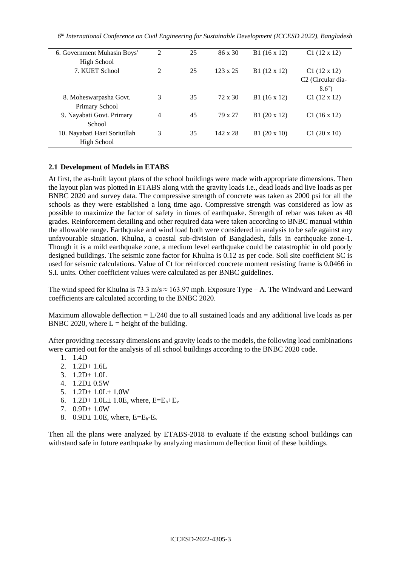*6 th International Conference on Civil Engineering for Sustainable Development (ICCESD 2022), Bangladesh*

| 6. Government Muhasin Boys'  | 2              | 25 | 86 x 30         | $B1(16 \times 12)$ | $C1(12 \times 12)$            |
|------------------------------|----------------|----|-----------------|--------------------|-------------------------------|
| High School                  |                |    |                 |                    |                               |
| 7. KUET School               | $\mathfrak{D}$ | 25 | $123 \times 25$ | B1 (12 x 12)       | $C1(12 \times 12)$            |
|                              |                |    |                 |                    | C <sub>2</sub> (Circular dia- |
|                              |                |    |                 |                    | $8.6^{\circ}$                 |
| 8. Moheswarpasha Govt.       | 3              | 35 | 72 x 30         | $B1(16 \times 12)$ | $C1(12 \times 12)$            |
| Primary School               |                |    |                 |                    |                               |
| 9. Nayabati Govt. Primary    | 4              | 45 | 79 x 27         | $B1(20 \times 12)$ | $C1(16 \times 12)$            |
| School                       |                |    |                 |                    |                               |
| 10. Nayabati Hazi Soriutllah | 3              | 35 | $142 \times 28$ | $B1(20 \times 10)$ | $C1(20 \times 10)$            |
| High School                  |                |    |                 |                    |                               |
|                              |                |    |                 |                    |                               |

## **2.1 Development of Models in ETABS**

At first, the as-built layout plans of the school buildings were made with appropriate dimensions. Then the layout plan was plotted in ETABS along with the gravity loads i.e., dead loads and live loads as per BNBC 2020 and survey data. The compressive strength of concrete was taken as 2000 psi for all the schools as they were established a long time ago. Compressive strength was considered as low as possible to maximize the factor of safety in times of earthquake. Strength of rebar was taken as 40 grades. Reinforcement detailing and other required data were taken according to BNBC manual within the allowable range. Earthquake and wind load both were considered in analysis to be safe against any unfavourable situation. Khulna, a coastal sub-division of Bangladesh, falls in earthquake zone-1. Though it is a mild earthquake zone, a medium level earthquake could be catastrophic in old poorly designed buildings. The seismic zone factor for Khulna is 0.12 as per code. Soil site coefficient SC is used for seismic calculations. Value of Ct for reinforced concrete moment resisting frame is 0.0466 in S.I. units. Other coefficient values were calculated as per BNBC guidelines.

The wind speed for Khulna is 73.3 m/s  $\approx$  163.97 mph. Exposure Type – A. The Windward and Leeward coefficients are calculated according to the BNBC 2020.

Maximum allowable deflection  $= L/240$  due to all sustained loads and any additional live loads as per BNBC 2020, where  $L =$  height of the building.

After providing necessary dimensions and gravity loads to the models, the following load combinations were carried out for the analysis of all school buildings according to the BNBC 2020 code.

- 1. 1.4D
- 2. 1.2D+ 1.6L
- 3. 1.2D+ 1.0L
- 4.  $1.2D \pm 0.5W$
- 5. 1.2D+ 1.0L± 1.0W
- 6.  $1.2D+1.0L+1.0E$ , where,  $E=E_h+E_v$
- 7. 0.9D± 1.0W
- 8.  $0.9D \pm 1.0E$ , where,  $E=E_h-E_v$

Then all the plans were analyzed by ETABS-2018 to evaluate if the existing school buildings can withstand safe in future earthquake by analyzing maximum deflection limit of these buildings.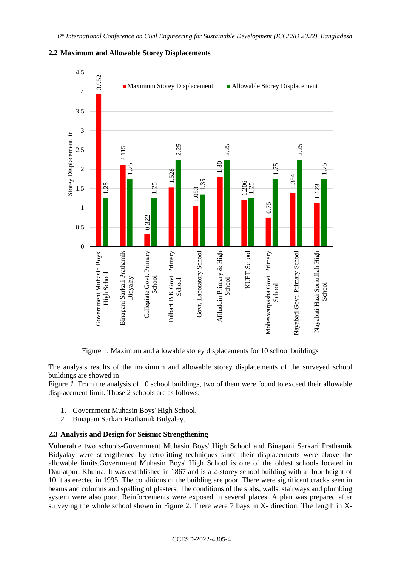

### **2.2 Maximum and Allowable Storey Displacements**

Figure 1: Maximum and allowable storey displacements for 10 school buildings

<span id="page-3-0"></span>The analysis results of the maximum and allowable storey displacements of the surveyed school buildings are showed in

[Figure](#page-3-0) *1*. From the analysis of 10 school buildings, two of them were found to exceed their allowable displacement limit. Those 2 schools are as follows:

- 1. Government Muhasin Boys' High School.
- 2. Binapani Sarkari Prathamik Bidyalay.

#### **2.3 Analysis and Design for Seismic Strengthening**

Vulnerable two schools-Government Muhasin Boys' High School and Binapani Sarkari Prathamik Bidyalay were strengthened by retrofitting techniques since their displacements were above the allowable limits.Government Muhasin Boys' High School is one of the oldest schools located in Daulatpur, Khulna. It was established in 1867 and is a 2-storey school building with a floor height of 10 ft as erected in 1995. The conditions of the building are poor. There were significant cracks seen in beams and columns and spalling of plasters. The conditions of the slabs, walls, stairways and plumbing system were also poor. Reinforcements were exposed in several places. A plan was prepared after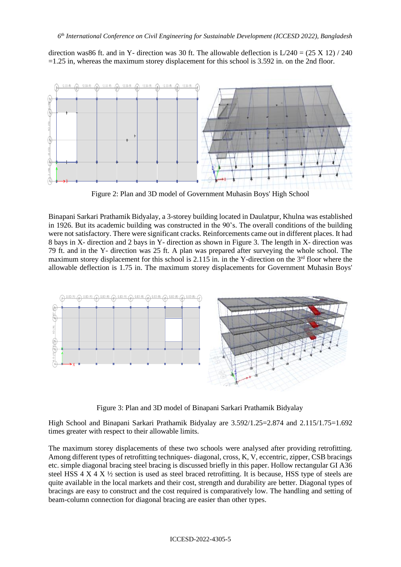direction was86 ft. and in Y- direction was 30 ft. The allowable deflection is  $L/240 = (25 \text{ X } 12) / 240$ =1.25 in, whereas the maximum storey displacement for this school is 3.592 in. on the 2nd floor.



Figure 2: Plan and 3D model of Government Muhasin Boys' High School

Binapani Sarkari Prathamik Bidyalay, a 3-storey building located in Daulatpur, Khulna was established in 1926. But its academic building was constructed in the 90's. The overall conditions of the building were not satisfactory. There were significant cracks. Reinforcements came out in different places. It had 8 bays in X- direction and 2 bays in Y- direction as shown in [Figure 3.](#page-4-0) The length in X- direction was 79 ft. and in the Y- direction was 25 ft. A plan was prepared after surveying the whole school. The maximum storey displacement for this school is 2.115 in. in the Y-direction on the  $3<sup>rd</sup>$  floor where the allowable deflection is 1.75 in. The maximum storey displacements for Government Muhasin Boys'



Figure 3: Plan and 3D model of Binapani Sarkari Prathamik Bidyalay

<span id="page-4-0"></span>High School and Binapani Sarkari Prathamik Bidyalay are 3.592/1.25=2.874 and 2.115/1.75=1.692 times greater with respect to their allowable limits.

The maximum storey displacements of these two schools were analysed after providing retrofitting. Among different types of retrofitting techniques- diagonal, cross, K, V, eccentric, zipper, CSB bracings etc. simple diagonal bracing steel bracing is discussed briefly in this paper. Hollow rectangular GI A36 steel HSS  $4 \times 4 \times 4$  section is used as steel braced retrofitting. It is because, HSS type of steels are quite available in the local markets and their cost, strength and durability are better. Diagonal types of bracings are easy to construct and the cost required is comparatively low. The handling and setting of beam-column connection for diagonal bracing are easier than other types.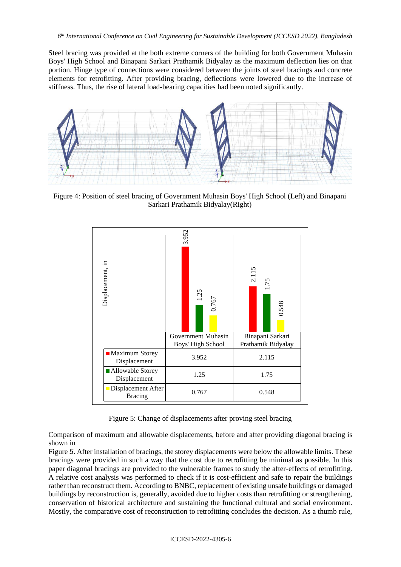Steel bracing was provided at the both extreme corners of the building for both Government Muhasin Boys' High School and Binapani Sarkari Prathamik Bidyalay as the maximum deflection lies on that portion. Hinge type of connections were considered between the joints of steel bracings and concrete elements for retrofitting. After providing bracing, deflections were lowered due to the increase of stiffness. Thus, the rise of lateral load-bearing capacities had been noted significantly.



Figure 4: Position of steel bracing of Government Muhasin Boys' High School (Left) and Binapani Sarkari Prathamik Bidyalay(Right)



Figure 5: Change of displacements after proving steel bracing

<span id="page-5-0"></span>Comparison of [maximum and allowable displacements, before and after providing diagonal bracing is](#page-5-0)  shown in

[Figure](#page-5-0) *5*. After installation of bracings, the storey displacements were below the allowable limits. These bracings were provided in such a way that the cost due to retrofitting be minimal as possible. In this paper diagonal bracings are provided to the vulnerable frames to study the after-effects of retrofitting. A relative cost analysis was performed to check if it is cost-efficient and safe to repair the buildings rather than reconstruct them. According to BNBC, replacement of existing unsafe buildings or damaged buildings by reconstruction is, generally, avoided due to higher costs than retrofitting or strengthening, conservation of historical architecture and sustaining the functional cultural and social environment. Mostly, the comparative cost of reconstruction to retrofitting concludes the decision. As a thumb rule,